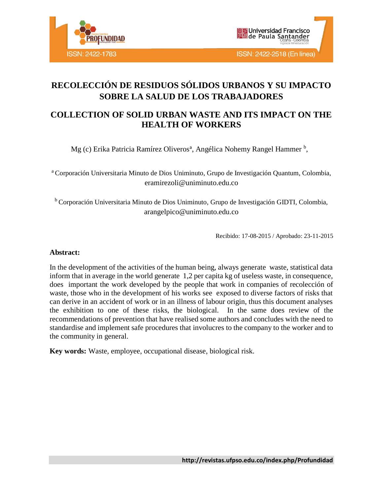



# **RECOLECCIÓN DE RESIDUOS SÓLIDOS URBANOS Y SU IMPACTO SOBRE LA SALUD DE LOS TRABAJADORES**

# **COLLECTION OF SOLID URBAN WASTE AND ITS IMPACT ON THE HEALTH OF WORKERS**

Mg (c) Erika Patricia Ramírez Oliveros<sup>a</sup>, Angélica Nohemy Rangel Hammer<sup>b</sup>,

<sup>a</sup> Corporación Universitaria Minuto de Dios Uniminuto, Grupo de Investigación Quantum, Colombia, eramirezoli@uniminuto.edu.co

<sup>b</sup> Corporación Universitaria Minuto de Dios Uniminuto, Grupo de Investigación GIDTI, Colombia, arangelpico@uniminuto.edu.co

Recibido: 17-08-2015 / Aprobado: 23-11-2015

#### **Abstract:**

In the development of the activities of the human being, always generate waste, statistical data inform that in average in the world generate 1,2 per capita kg of useless waste, in consequence, does important the work developed by the people that work in companies of recolección of waste, those who in the development of his works see exposed to diverse factors of risks that can derive in an accident of work or in an illness of labour origin, thus this document analyses the exhibition to one of these risks, the biological. In the same does review of the recommendations of prevention that have realised some authors and concludes with the need to standardise and implement safe procedures that involucres to the company to the worker and to the community in general.

**Key words:** Waste, employee, occupational disease, biological risk.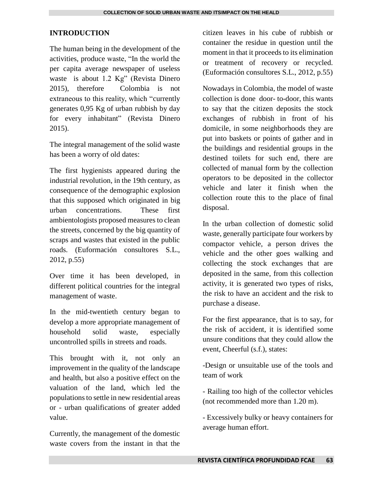#### **INTRODUCTION**

The human being in the development of the activities, produce waste, "In the world the per capita average newspaper of useless waste is about 1.2 Kg" (Revista Dinero 2015), therefore Colombia is not extraneous to this reality, which "currently generates 0,95 Kg of urban rubbish by day for every inhabitant" (Revista Dinero 2015).

The integral management of the solid waste has been a worry of old dates:

The first hygienists appeared during the industrial revolution, in the 19th century, as consequence of the demographic explosion that this supposed which originated in big urban concentrations. These first ambientologists proposed measures to clean the streets, concerned by the big quantity of scraps and wastes that existed in the public roads. (Euformación consultores S.L., 2012, p.55)

Over time it has been developed, in different political countries for the integral management of waste.

In the mid-twentieth century began to develop a more appropriate management of household solid waste, especially uncontrolled spills in streets and roads.

This brought with it, not only an improvement in the quality of the landscape and health, but also a positive effect on the valuation of the land, which led the populations to settle in new residential areas or - urban qualifications of greater added value.

Currently, the management of the domestic waste covers from the instant in that the citizen leaves in his cube of rubbish or container the residue in question until the moment in that it proceeds to its elimination or treatment of recovery or recycled. (Euformación consultores S.L., 2012, p.55)

Nowadays in Colombia, the model of waste collection is done door- to-door, this wants to say that the citizen deposits the stock exchanges of rubbish in front of his domicile, in some neighborhoods they are put into baskets or points of gather and in the buildings and residential groups in the destined toilets for such end, there are collected of manual form by the collection operators to be deposited in the collector vehicle and later it finish when the collection route this to the place of final disposal.

In the urban collection of domestic solid waste, generally participate four workers by compactor vehicle, a person drives the vehicle and the other goes walking and collecting the stock exchanges that are deposited in the same, from this collection activity, it is generated two types of risks, the risk to have an accident and the risk to purchase a disease.

For the first appearance, that is to say, for the risk of accident, it is identified some unsure conditions that they could allow the event, Cheerful (s.f.), states:

-Design or unsuitable use of the tools and team of work

- Railing too high of the collector vehicles (not recommended more than 1.20 m).

- Excessively bulky or heavy containers for average human effort.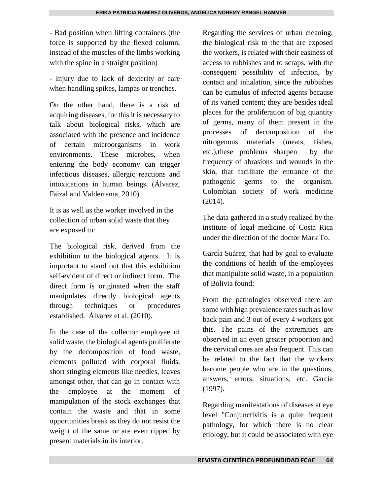- Bad position when lifting containers (the force is supported by the flexed column, instead of the muscles of the limbs working with the spine in a straight position)

- Injury due to lack of dexterity or care when handling spikes, lampas or trenches.

On the other hand, there is a risk of acquiring diseases, for this it is necessary to talk about biological risks, which are associated with the presence and incidence of certain microorganisms in work environments. These microbes, when entering the body economy can trigger infectious diseases, allergic reactions and intoxications in human beings. (Álvarez, Faizal and Valderrama, 2010).

It is as well as the worker involved in the collection of urban solid waste that they are exposed to:

The biological risk, derived from the exhibition to the biological agents. It is important to stand out that this exhibition self-evident of direct or indirect form. The direct form is originated when the staff manipulates directly biological agents through techniques or procedures established. Álvarez et al. (2010).

In the case of the collector employee of solid waste, the biological agents proliferate by the decomposition of food waste, elements polluted with corporal fluids, short stinging elements like needles, leaves amongst other, that can go in contact with the employee at the moment of manipulation of the stock exchanges that contain the waste and that in some opportunities break as they do not resist the weight of the same or are even ripped by present materials in its interior.

Regarding the services of urban cleaning, the biological risk to the that are exposed the workers, is related with their easiness of access to rubbishes and to scraps, with the consequent possibility of infection, by contact and inhalation, since the rubbishes can be cumulus of infected agents because of its varied content; they are besides ideal places for the proliferation of big quantity of germs, many of them present in the processes of decomposition of the nitrogenous materials (meats, fishes, etc.),these problems sharpen by the frequency of abrasions and wounds in the skin, that facilitate the entrance of the pathogenic germs to the organism. Colombian society of work medicine (2014).

The data gathered in a study realized by the institute of legal medicine of Costa Rica under the direction of the doctor Mark To.

García Suárez, that had by goal to evaluate the conditions of health of the employees that manipulate solid waste, in a population of Bolivia found:

From the pathologies observed there are some with high prevalence rates such as low back pain and 3 out of every 4 workers got this. The pains of the extremities are observed in an even greater proportion and the cervical ones are also frequent. This can be related to the fact that the workers become people who are in the questions, answers, errors, situations, etc. García (1997).

Regarding manifestations of diseases at eye level "Conjunctivitis is a quite frequent pathology, for which there is no clear etiology, but it could be associated with eye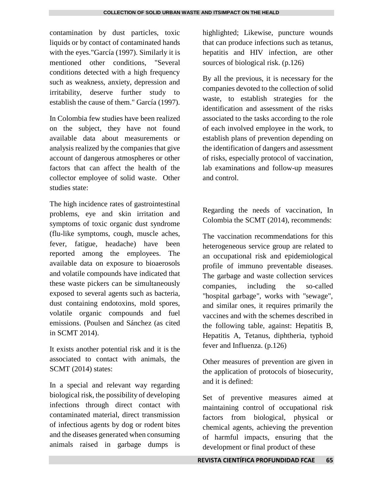contamination by dust particles, toxic liquids or by contact of contaminated hands with the eyes."García (1997). Similarly it is mentioned other conditions, "Several conditions detected with a high frequency such as weakness, anxiety, depression and irritability, deserve further study to establish the cause of them." García (1997).

In Colombia few studies have been realized on the subject, they have not found available data about measurements or analysis realized by the companies that give account of dangerous atmospheres or other factors that can affect the health of the collector employee of solid waste. Other studies state:

The high incidence rates of gastrointestinal problems, eye and skin irritation and symptoms of toxic organic dust syndrome (flu-like symptoms, cough, muscle aches, fever, fatigue, headache) have been reported among the employees. The available data on exposure to bioaerosols and volatile compounds have indicated that these waste pickers can be simultaneously exposed to several agents such as bacteria, dust containing endotoxins, mold spores, volatile organic compounds and fuel emissions. (Poulsen and Sánchez (as cited in SCMT 2014).

It exists another potential risk and it is the associated to contact with animals, the SCMT (2014) states:

In a special and relevant way regarding biological risk, the possibility of developing infections through direct contact with contaminated material, direct transmission of infectious agents by dog or rodent bites and the diseases generated when consuming animals raised in garbage dumps is

highlighted; Likewise, puncture wounds that can produce infections such as tetanus, hepatitis and HIV infection, are other sources of biological risk. (p.126)

By all the previous, it is necessary for the companies devoted to the collection of solid waste, to establish strategies for the identification and assessment of the risks associated to the tasks according to the role of each involved employee in the work, to establish plans of prevention depending on the identification of dangers and assessment of risks, especially protocol of vaccination, lab examinations and follow-up measures and control.

Regarding the needs of vaccination, In Colombia the SCMT (2014), recommends:

The vaccination recommendations for this heterogeneous service group are related to an occupational risk and epidemiological profile of immuno preventable diseases. The garbage and waste collection services companies, including the so-called "hospital garbage", works with "sewage", and similar ones, it requires primarily the vaccines and with the schemes described in the following table, against: Hepatitis B, Hepatitis A, Tetanus, diphtheria, typhoid fever and Influenza. (p.126)

Other measures of prevention are given in the application of protocols of biosecurity, and it is defined:

Set of preventive measures aimed at maintaining control of occupational risk factors from biological, physical or chemical agents, achieving the prevention of harmful impacts, ensuring that the development or final product of these